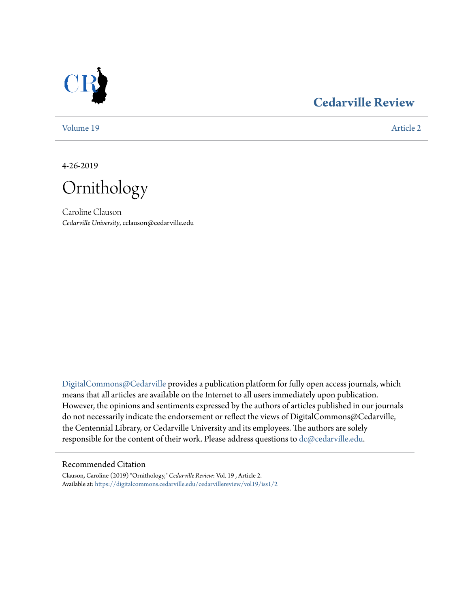

# **[Cedarville Review](https://digitalcommons.cedarville.edu/cedarvillereview?utm_source=digitalcommons.cedarville.edu%2Fcedarvillereview%2Fvol19%2Fiss1%2F2&utm_medium=PDF&utm_campaign=PDFCoverPages)**

[Volume 19](https://digitalcommons.cedarville.edu/cedarvillereview/vol19?utm_source=digitalcommons.cedarville.edu%2Fcedarvillereview%2Fvol19%2Fiss1%2F2&utm_medium=PDF&utm_campaign=PDFCoverPages) [Article 2](https://digitalcommons.cedarville.edu/cedarvillereview/vol19/iss1/2?utm_source=digitalcommons.cedarville.edu%2Fcedarvillereview%2Fvol19%2Fiss1%2F2&utm_medium=PDF&utm_campaign=PDFCoverPages)

4-26-2019

Ornithology

Caroline Clauson *Cedarville University*, cclauson@cedarville.edu

[DigitalCommons@Cedarville](http://digitalcommons.cedarville.edu/) provides a publication platform for fully open access journals, which means that all articles are available on the Internet to all users immediately upon publication. However, the opinions and sentiments expressed by the authors of articles published in our journals do not necessarily indicate the endorsement or reflect the views of DigitalCommons@Cedarville, the Centennial Library, or Cedarville University and its employees. The authors are solely responsible for the content of their work. Please address questions to [dc@cedarville.edu](mailto:dc@cedarville.edu).

## Recommended Citation

Clauson, Caroline (2019) "Ornithology," *Cedarville Review*: Vol. 19 , Article 2. Available at: [https://digitalcommons.cedarville.edu/cedarvillereview/vol19/iss1/2](https://digitalcommons.cedarville.edu/cedarvillereview/vol19/iss1/2?utm_source=digitalcommons.cedarville.edu%2Fcedarvillereview%2Fvol19%2Fiss1%2F2&utm_medium=PDF&utm_campaign=PDFCoverPages)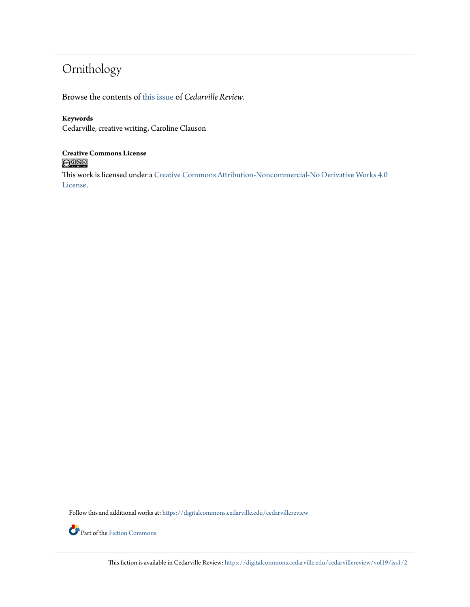# Ornithology

Browse the contents of [this issue](https://digitalcommons.cedarville.edu/cedarvillereview/vol19/iss1) of *Cedarville Review*.

# **Keywords**

Cedarville, creative writing, Caroline Clauson

# **Creative Commons License**<br> **C** 000

This work is licensed under a [Creative Commons Attribution-Noncommercial-No Derivative Works 4.0](http://creativecommons.org/licenses/by-nc-nd/4.0/) [License.](http://creativecommons.org/licenses/by-nc-nd/4.0/)

Follow this and additional works at: [https://digitalcommons.cedarville.edu/cedarvillereview](https://digitalcommons.cedarville.edu/cedarvillereview?utm_source=digitalcommons.cedarville.edu%2Fcedarvillereview%2Fvol19%2Fiss1%2F2&utm_medium=PDF&utm_campaign=PDFCoverPages)



Part of the [Fiction Commons](http://network.bepress.com/hgg/discipline/1151?utm_source=digitalcommons.cedarville.edu%2Fcedarvillereview%2Fvol19%2Fiss1%2F2&utm_medium=PDF&utm_campaign=PDFCoverPages)

This fiction is available in Cedarville Review: [https://digitalcommons.cedarville.edu/cedarvillereview/vol19/iss1/2](https://digitalcommons.cedarville.edu/cedarvillereview/vol19/iss1/2?utm_source=digitalcommons.cedarville.edu%2Fcedarvillereview%2Fvol19%2Fiss1%2F2&utm_medium=PDF&utm_campaign=PDFCoverPages)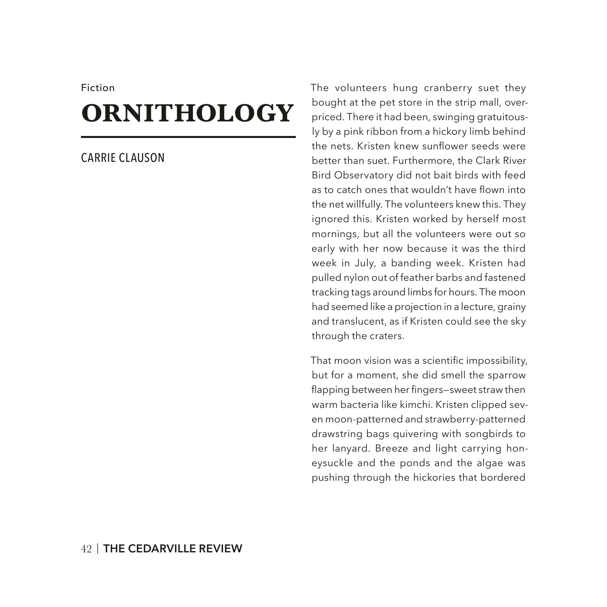#### Fiction

# **ORNITHOLOGY**

## CARRIE CLAUSON

The volunteers hung cranberry suet they bought at the pet store in the strip mall, overpriced. There it had been, swinging gratuitously by a pink ribbon from a hickory limb behind the nets. Kristen knew sunfower seeds were better than suet. Furthermore, the Clark River Bird Observatory did not bait birds with feed as to catch ones that wouldn't have flown into the net willfully. The volunteers knew this. They ignored this. Kristen worked by herself most mornings, but all the volunteers were out so early with her now because it was the third week in July, a banding week. Kristen had pulled nylon out of feather barbs and fastened tracking tags around limbs for hours. The moon had seemed like a projection in a lecture, grainy and translucent, as if Kristen could see the sky through the craters.

That moon vision was a scientific impossibility, but for a moment, she did smell the sparrow flapping between her fingers-sweet straw then warm bacteria like kimchi. Kristen clipped seven moon-patterned and strawberry-patterned drawstring bags quivering with songbirds to her lanyard. Breeze and light carrying honeysuckle and the ponds and the algae was pushing through the hickories that bordered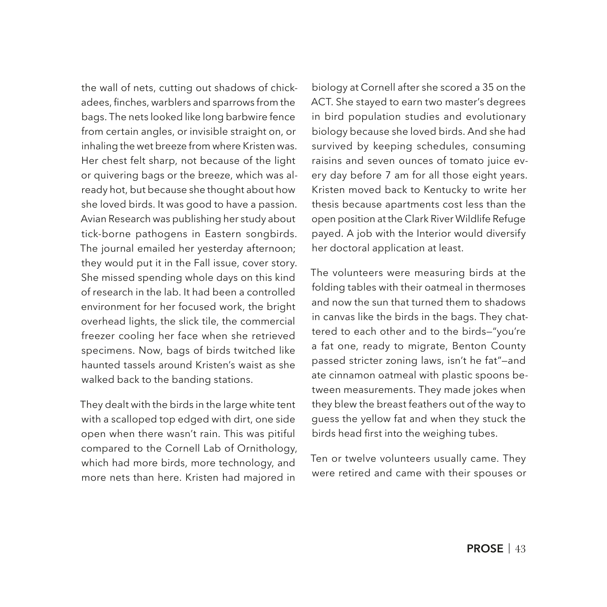the wall of nets, cutting out shadows of chickadees, fnches, warblers and sparrows from the bags. The nets looked like long barbwire fence from certain angles, or invisible straight on, or inhaling the wet breeze from where Kristen was. Her chest felt sharp, not because of the light or quivering bags or the breeze, which was already hot, but because she thought about how she loved birds. It was good to have a passion. Avian Research was publishing her study about tick-borne pathogens in Eastern songbirds. The journal emailed her yesterday afternoon; they would put it in the Fall issue, cover story. She missed spending whole days on this kind of research in the lab. It had been a controlled environment for her focused work, the bright overhead lights, the slick tile, the commercial freezer cooling her face when she retrieved specimens. Now, bags of birds twitched like haunted tassels around Kristen's waist as she walked back to the banding stations.

They dealt with the birds in the large white tent with a scalloped top edged with dirt, one side open when there wasn't rain. This was pitiful compared to the Cornell Lab of Ornithology, which had more birds, more technology, and more nets than here. Kristen had majored in biology at Cornell after she scored a 35 on the ACT. She stayed to earn two master's degrees in bird population studies and evolutionary biology because she loved birds. And she had survived by keeping schedules, consuming raisins and seven ounces of tomato juice every day before 7 am for all those eight years. Kristen moved back to Kentucky to write her thesis because apartments cost less than the open position at the Clark River Wildlife Refuge payed. A job with the Interior would diversify her doctoral application at least.

The volunteers were measuring birds at the folding tables with their oatmeal in thermoses and now the sun that turned them to shadows in canvas like the birds in the bags. They chattered to each other and to the birds—"you're a fat one, ready to migrate, Benton County passed stricter zoning laws, isn't he fat"—and ate cinnamon oatmeal with plastic spoons between measurements. They made jokes when they blew the breast feathers out of the way to guess the yellow fat and when they stuck the birds head frst into the weighing tubes.

Ten or twelve volunteers usually came. They were retired and came with their spouses or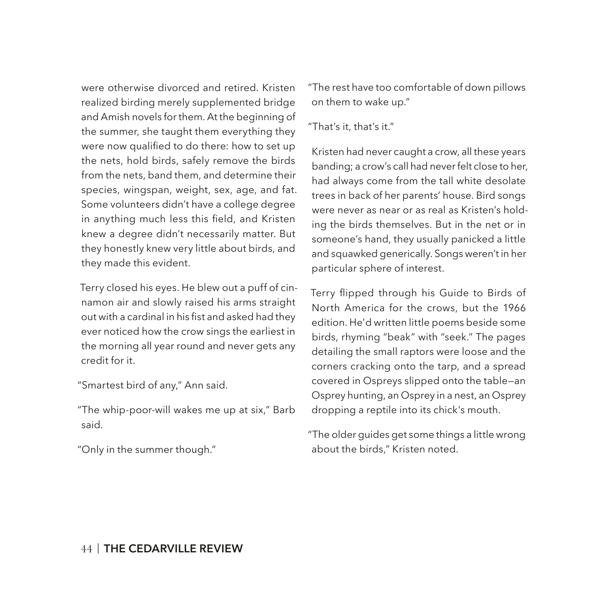were otherwise divorced and retired. Kristen realized birding merely supplemented bridge and Amish novels for them. At the beginning of the summer, she taught them everything they were now qualifed to do there: how to set up the nets, hold birds, safely remove the birds from the nets, band them, and determine their species, wingspan, weight, sex, age, and fat. Some volunteers didn't have a college degree in anything much less this field, and Kristen knew a degree didn't necessarily matter. But they honestly knew very little about birds, and they made this evident.

Terry closed his eyes. He blew out a puff of cinnamon air and slowly raised his arms straight out with a cardinal in his fist and asked had they ever noticed how the crow sings the earliest in the morning all year round and never gets any credit for it.

"Smartest bird of any," Ann said.

"The whip-poor-will wakes me up at six," Barb said.

"Only in the summer though."

"The rest have too comfortable of down pillows on them to wake up."

### "That's it, that's it."

Kristen had never caught a crow, all these years banding; a crow's call had never felt close to her, had always come from the tall white desolate trees in back of her parents' house. Bird songs were never as near or as real as Kristen's holding the birds themselves. But in the net or in someone's hand, they usually panicked a little and squawked generically. Songs weren't in her particular sphere of interest.

Terry fipped through his Guide to Birds of North America for the crows, but the 1966 edition. He'd written little poems beside some birds, rhyming "beak" with "seek." The pages detailing the small raptors were loose and the corners cracking onto the tarp, and a spread covered in Ospreys slipped onto the table—an Osprey hunting, an Osprey in a nest, an Osprey dropping a reptile into its chick's mouth.

"The older guides get some things a little wrong about the birds," Kristen noted.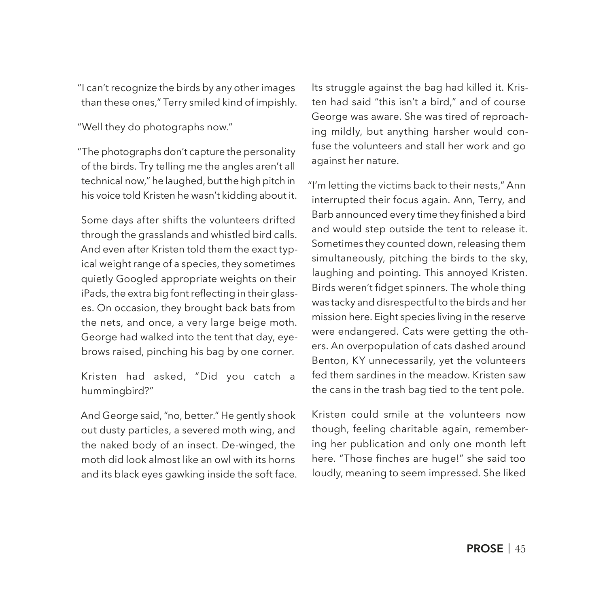"I can't recognize the birds by any other images than these ones," Terry smiled kind of impishly.

"Well they do photographs now."

"The photographs don't capture the personality of the birds. Try telling me the angles aren't all technical now," he laughed, but the high pitch in his voice told Kristen he wasn't kidding about it.

Some days after shifts the volunteers drifted through the grasslands and whistled bird calls. And even after Kristen told them the exact typical weight range of a species, they sometimes quietly Googled appropriate weights on their iPads, the extra big font reflecting in their glasses. On occasion, they brought back bats from the nets, and once, a very large beige moth. George had walked into the tent that day, eyebrows raised, pinching his bag by one corner.

Kristen had asked, "Did you catch a hummingbird?"

And George said, "no, better." He gently shook out dusty particles, a severed moth wing, and the naked body of an insect. De-winged, the moth did look almost like an owl with its horns and its black eyes gawking inside the soft face. Its struggle against the bag had killed it. Kristen had said "this isn't a bird," and of course George was aware. She was tired of reproaching mildly, but anything harsher would confuse the volunteers and stall her work and go against her nature.

"I'm letting the victims back to their nests," Ann interrupted their focus again. Ann, Terry, and Barb announced every time they finished a bird and would step outside the tent to release it. Sometimes they counted down, releasing them simultaneously, pitching the birds to the sky, laughing and pointing. This annoyed Kristen. Birds weren't fidget spinners. The whole thing was tacky and disrespectful to the birds and her mission here. Eight species living in the reserve were endangered. Cats were getting the others. An overpopulation of cats dashed around Benton, KY unnecessarily, yet the volunteers fed them sardines in the meadow. Kristen saw the cans in the trash bag tied to the tent pole.

Kristen could smile at the volunteers now though, feeling charitable again, remembering her publication and only one month left here. "Those finches are huge!" she said too loudly, meaning to seem impressed. She liked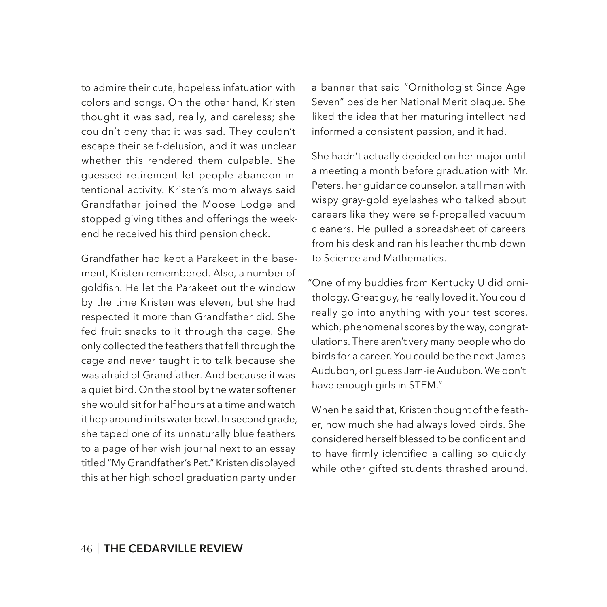to admire their cute, hopeless infatuation with colors and songs. On the other hand, Kristen thought it was sad, really, and careless; she couldn't deny that it was sad. They couldn't escape their self-delusion, and it was unclear whether this rendered them culpable. She guessed retirement let people abandon intentional activity. Kristen's mom always said Grandfather joined the Moose Lodge and stopped giving tithes and offerings the weekend he received his third pension check.

Grandfather had kept a Parakeet in the basement, Kristen remembered. Also, a number of goldfish. He let the Parakeet out the window by the time Kristen was eleven, but she had respected it more than Grandfather did. She fed fruit snacks to it through the cage. She only collected the feathers that fell through the cage and never taught it to talk because she was afraid of Grandfather. And because it was a quiet bird. On the stool by the water softener she would sit for half hours at a time and watch it hop around in its water bowl. In second grade, she taped one of its unnaturally blue feathers to a page of her wish journal next to an essay titled "My Grandfather's Pet." Kristen displayed this at her high school graduation party under

a banner that said "Ornithologist Since Age Seven" beside her National Merit plaque. She liked the idea that her maturing intellect had informed a consistent passion, and it had.

She hadn't actually decided on her major until a meeting a month before graduation with Mr. Peters, her guidance counselor, a tall man with wispy gray-gold eyelashes who talked about careers like they were self-propelled vacuum cleaners. He pulled a spreadsheet of careers from his desk and ran his leather thumb down to Science and Mathematics.

"One of my buddies from Kentucky U did ornithology. Great guy, he really loved it. You could really go into anything with your test scores, which, phenomenal scores by the way, congratulations. There aren't very many people who do birds for a career. You could be the next James Audubon, or I guess Jam-ie Audubon. We don't have enough girls in STEM."

When he said that, Kristen thought of the feather, how much she had always loved birds. She considered herself blessed to be confdent and to have frmly identifed a calling so quickly while other gifted students thrashed around,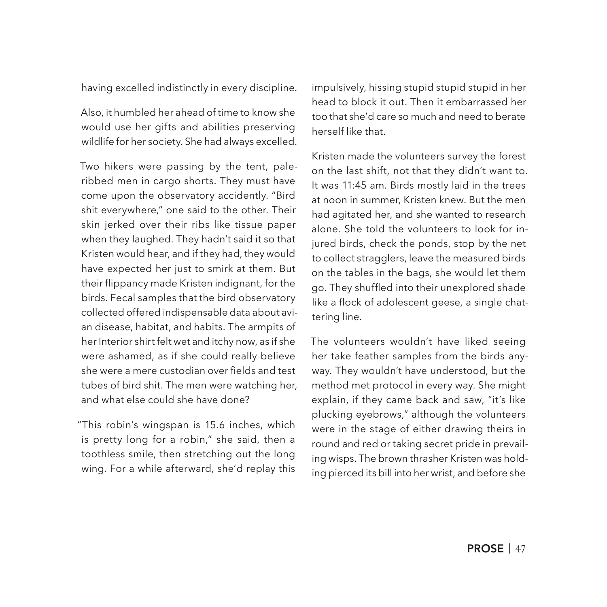having excelled indistinctly in every discipline.

Also, it humbled her ahead of time to know she would use her gifts and abilities preserving wildlife for her society. She had always excelled.

Two hikers were passing by the tent, paleribbed men in cargo shorts. They must have come upon the observatory accidently. "Bird shit everywhere," one said to the other. Their skin jerked over their ribs like tissue paper when they laughed. They hadn't said it so that Kristen would hear, and if they had, they would have expected her just to smirk at them. But their fippancy made Kristen indignant, for the birds. Fecal samples that the bird observatory collected offered indispensable data about avian disease, habitat, and habits. The armpits of her Interior shirt felt wet and itchy now, as if she were ashamed, as if she could really believe she were a mere custodian over fields and test tubes of bird shit. The men were watching her, and what else could she have done?

"This robin's wingspan is 15.6 inches, which is pretty long for a robin," she said, then a toothless smile, then stretching out the long wing. For a while afterward, she'd replay this impulsively, hissing stupid stupid stupid in her head to block it out. Then it embarrassed her too that she'd care so much and need to berate herself like that.

Kristen made the volunteers survey the forest on the last shift, not that they didn't want to. It was 11:45 am. Birds mostly laid in the trees at noon in summer, Kristen knew. But the men had agitated her, and she wanted to research alone. She told the volunteers to look for injured birds, check the ponds, stop by the net to collect stragglers, leave the measured birds on the tables in the bags, she would let them go. They shuffed into their unexplored shade like a flock of adolescent geese, a single chattering line.

The volunteers wouldn't have liked seeing her take feather samples from the birds anyway. They wouldn't have understood, but the method met protocol in every way. She might explain, if they came back and saw, "it's like plucking eyebrows," although the volunteers were in the stage of either drawing theirs in round and red or taking secret pride in prevailing wisps. The brown thrasher Kristen was holding pierced its bill into her wrist, and before she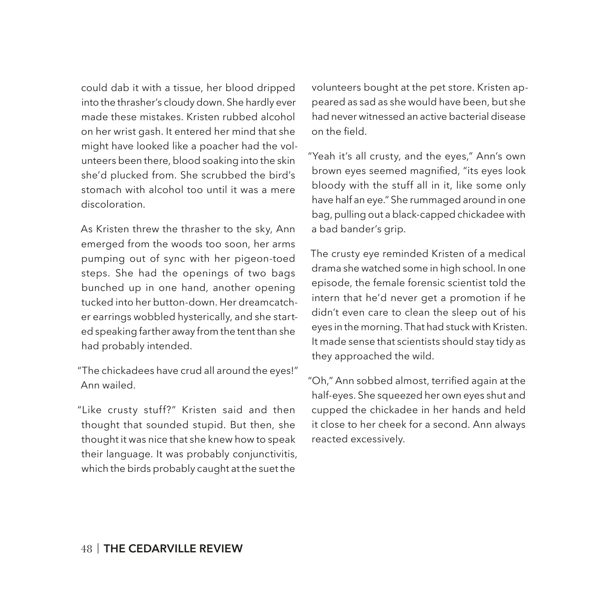could dab it with a tissue, her blood dripped into the thrasher's cloudy down. She hardly ever made these mistakes. Kristen rubbed alcohol on her wrist gash. It entered her mind that she might have looked like a poacher had the volunteers been there, blood soaking into the skin she'd plucked from. She scrubbed the bird's stomach with alcohol too until it was a mere discoloration.

As Kristen threw the thrasher to the sky, Ann emerged from the woods too soon, her arms pumping out of sync with her pigeon-toed steps. She had the openings of two bags bunched up in one hand, another opening tucked into her button-down. Her dreamcatcher earrings wobbled hysterically, and she started speaking farther away from the tent than she had probably intended.

"The chickadees have crud all around the eyes!" Ann wailed.

"Like crusty stuff?" Kristen said and then thought that sounded stupid. But then, she thought it was nice that she knew how to speak their language. It was probably conjunctivitis, which the birds probably caught at the suet the

volunteers bought at the pet store. Kristen appeared as sad as she would have been, but she had never witnessed an active bacterial disease on the field.

"Yeah it's all crusty, and the eyes," Ann's own brown eyes seemed magnified, "its eyes look bloody with the stuff all in it, like some only have half an eye." She rummaged around in one bag, pulling out a black-capped chickadee with a bad bander's grip.

The crusty eye reminded Kristen of a medical drama she watched some in high school. In one episode, the female forensic scientist told the intern that he'd never get a promotion if he didn't even care to clean the sleep out of his eyes in the morning. That had stuck with Kristen. It made sense that scientists should stay tidy as they approached the wild.

"Oh," Ann sobbed almost, terrifed again at the half-eyes. She squeezed her own eyes shut and cupped the chickadee in her hands and held it close to her cheek for a second. Ann always reacted excessively.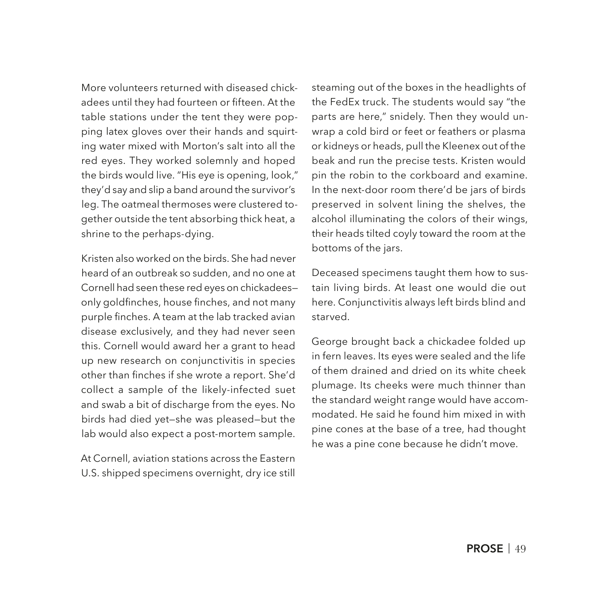More volunteers returned with diseased chickadees until they had fourteen or fifteen. At the table stations under the tent they were popping latex gloves over their hands and squirting water mixed with Morton's salt into all the red eyes. They worked solemnly and hoped the birds would live. "His eye is opening, look," they'd say and slip a band around the survivor's leg. The oatmeal thermoses were clustered together outside the tent absorbing thick heat, a shrine to the perhaps-dying.

Kristen also worked on the birds. She had never heard of an outbreak so sudden, and no one at Cornell had seen these red eyes on chickadees only goldfnches, house fnches, and not many purple fnches. A team at the lab tracked avian disease exclusively, and they had never seen this. Cornell would award her a grant to head up new research on conjunctivitis in species other than fnches if she wrote a report. She'd collect a sample of the likely-infected suet and swab a bit of discharge from the eyes. No birds had died yet—she was pleased—but the lab would also expect a post-mortem sample.

At Cornell, aviation stations across the Eastern U.S. shipped specimens overnight, dry ice still steaming out of the boxes in the headlights of the FedEx truck. The students would say "the parts are here," snidely. Then they would unwrap a cold bird or feet or feathers or plasma or kidneys or heads, pull the Kleenex out of the beak and run the precise tests. Kristen would pin the robin to the corkboard and examine. In the next-door room there'd be jars of birds preserved in solvent lining the shelves, the alcohol illuminating the colors of their wings, their heads tilted coyly toward the room at the bottoms of the jars.

Deceased specimens taught them how to sustain living birds. At least one would die out here. Conjunctivitis always left birds blind and starved.

George brought back a chickadee folded up in fern leaves. Its eyes were sealed and the life of them drained and dried on its white cheek plumage. Its cheeks were much thinner than the standard weight range would have accommodated. He said he found him mixed in with pine cones at the base of a tree, had thought he was a pine cone because he didn't move.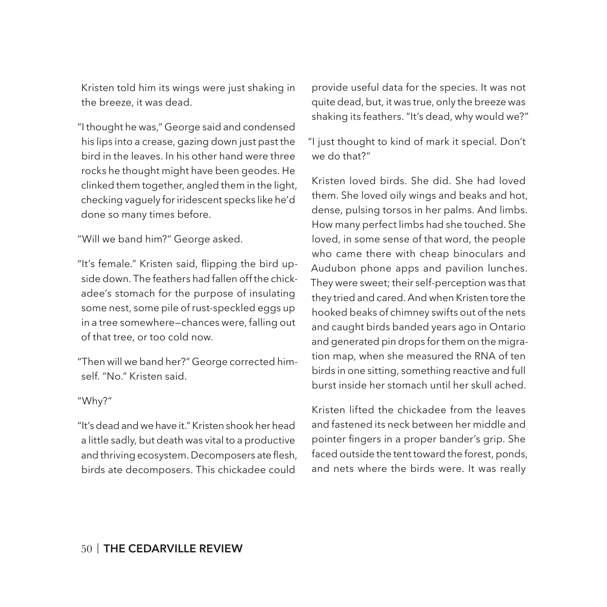Kristen told him its wings were just shaking in the breeze, it was dead.

"I thought he was," George said and condensed his lips into a crease, gazing down just past the bird in the leaves. In his other hand were three rocks he thought might have been geodes. He clinked them together, angled them in the light, checking vaguely for iridescent specks like he'd done so many times before.

"Will we band him?" George asked.

"It's female." Kristen said, fipping the bird upside down. The feathers had fallen off the chickadee's stomach for the purpose of insulating some nest, some pile of rust-speckled eggs up in a tree somewhere—chances were, falling out of that tree, or too cold now.

"Then will we band her?" George corrected himself. "No." Kristen said.

### "Why?"

"It's dead and we have it." Kristen shook her head a little sadly, but death was vital to a productive and thriving ecosystem. Decomposers ate flesh, birds ate decomposers. This chickadee could

provide useful data for the species. It was not quite dead, but, it was true, only the breeze was shaking its feathers. "It's dead, why would we?"

"I just thought to kind of mark it special. Don't we do that?"

Kristen loved birds. She did. She had loved them. She loved oily wings and beaks and hot, dense, pulsing torsos in her palms. And limbs. How many perfect limbs had she touched. She loved, in some sense of that word, the people who came there with cheap binoculars and Audubon phone apps and pavilion lunches. They were sweet; their self-perception was that they tried and cared. And when Kristen tore the hooked beaks of chimney swifts out of the nets and caught birds banded years ago in Ontario and generated pin drops for them on the migration map, when she measured the RNA of ten birds in one sitting, something reactive and full burst inside her stomach until her skull ached.

Kristen lifted the chickadee from the leaves and fastened its neck between her middle and pointer fingers in a proper bander's grip. She faced outside the tent toward the forest, ponds, and nets where the birds were. It was really